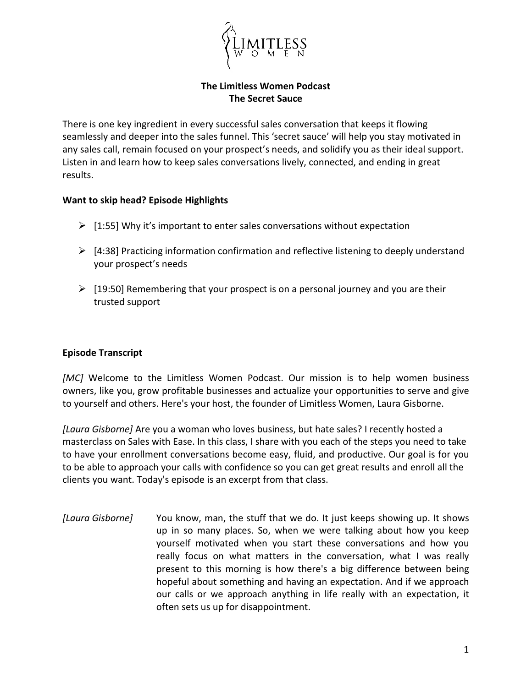

**The Limitless Women Podcast The Secret Sauce**

There is one key ingredient in every successful sales conversation that keeps it flowing seamlessly and deeper into the sales funnel. This 'secret sauce' will help you stay motivated in any sales call, remain focused on your prospect's needs, and solidify you as their ideal support. Listen in and learn how to keep sales conversations lively, connected, and ending in great results.

## **Want to skip head? Episode Highlights**

- $\triangleright$  [1:55] Why it's important to enter sales conversations without expectation
- $\triangleright$  [4:38] Practicing information confirmation and reflective listening to deeply understand your prospect's needs
- $\triangleright$  [19:50] Remembering that your prospect is on a personal journey and you are their trusted support

## **Episode Transcript**

*[MC]* Welcome to the Limitless Women Podcast. Our mission is to help women business owners, like you, grow profitable businesses and actualize your opportunities to serve and give to yourself and others. Here's your host, the founder of Limitless Women, Laura Gisborne.

*[Laura Gisborne]* Are you a woman who loves business, but hate sales? I recently hosted a masterclass on Sales with Ease. In this class, I share with you each of the steps you need to take to have your enrollment conversations become easy, fluid, and productive. Our goal is for you to be able to approach your calls with confidence so you can get great results and enroll all the clients you want. Today's episode is an excerpt from that class.

*[Laura Gisborne]* You know, man, the stuff that we do. It just keeps showing up. It shows up in so many places. So, when we were talking about how you keep yourself motivated when you start these conversations and how you really focus on what matters in the conversation, what I was really present to this morning is how there's a big difference between being hopeful about something and having an expectation. And if we approach our calls or we approach anything in life really with an expectation, it often sets us up for disappointment.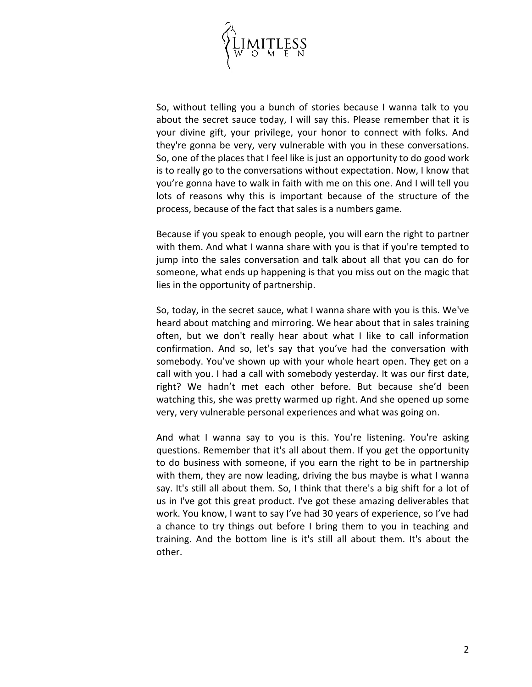

So, without telling you a bunch of stories because I wanna talk to you about the secret sauce today, I will say this. Please remember that it is your divine gift, your privilege, your honor to connect with folks. And they're gonna be very, very vulnerable with you in these conversations. So, one of the places that I feel like is just an opportunity to do good work is to really go to the conversations without expectation. Now, I know that you're gonna have to walk in faith with me on this one. And I will tell you lots of reasons why this is important because of the structure of the process, because of the fact that sales is a numbers game.

Because if you speak to enough people, you will earn the right to partner with them. And what I wanna share with you is that if you're tempted to jump into the sales conversation and talk about all that you can do for someone, what ends up happening is that you miss out on the magic that lies in the opportunity of partnership.

So, today, in the secret sauce, what I wanna share with you is this. We've heard about matching and mirroring. We hear about that in sales training often, but we don't really hear about what I like to call information confirmation. And so, let's say that you've had the conversation with somebody. You've shown up with your whole heart open. They get on a call with you. I had a call with somebody yesterday. It was our first date, right? We hadn't met each other before. But because she'd been watching this, she was pretty warmed up right. And she opened up some very, very vulnerable personal experiences and what was going on.

And what I wanna say to you is this. You're listening. You're asking questions. Remember that it's all about them. If you get the opportunity to do business with someone, if you earn the right to be in partnership with them, they are now leading, driving the bus maybe is what I wanna say. It's still all about them. So, I think that there's a big shift for a lot of us in I've got this great product. I've got these amazing deliverables that work. You know, I want to say I've had 30 years of experience, so I've had a chance to try things out before I bring them to you in teaching and training. And the bottom line is it's still all about them. It's about the other.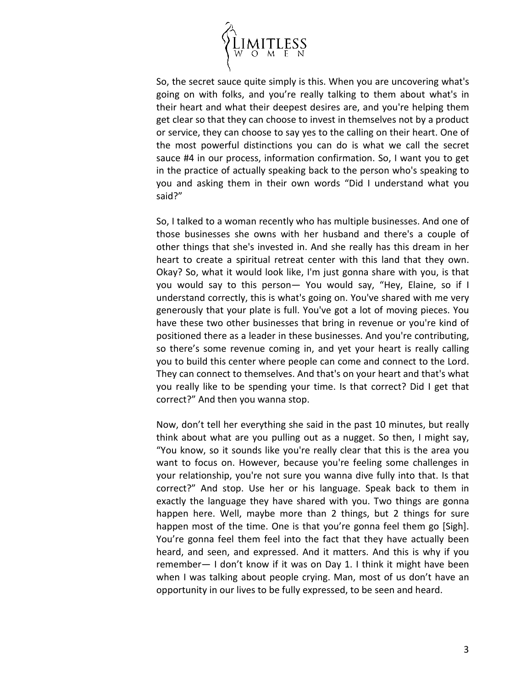

So, the secret sauce quite simply is this. When you are uncovering what's going on with folks, and you're really talking to them about what's in their heart and what their deepest desires are, and you're helping them get clear so that they can choose to invest in themselves not by a product or service, they can choose to say yes to the calling on their heart. One of the most powerful distinctions you can do is what we call the secret sauce #4 in our process, information confirmation. So, I want you to get in the practice of actually speaking back to the person who's speaking to you and asking them in their own words "Did I understand what you said?"

So, I talked to a woman recently who has multiple businesses. And one of those businesses she owns with her husband and there's a couple of other things that she's invested in. And she really has this dream in her heart to create a spiritual retreat center with this land that they own. Okay? So, what it would look like, I'm just gonna share with you, is that you would say to this person— You would say, "Hey, Elaine, so if I understand correctly, this is what's going on. You've shared with me very generously that your plate is full. You've got a lot of moving pieces. You have these two other businesses that bring in revenue or you're kind of positioned there as a leader in these businesses. And you're contributing, so there's some revenue coming in, and yet your heart is really calling you to build this center where people can come and connect to the Lord. They can connect to themselves. And that's on your heart and that's what you really like to be spending your time. Is that correct? Did I get that correct?" And then you wanna stop.

Now, don't tell her everything she said in the past 10 minutes, but really think about what are you pulling out as a nugget. So then, I might say, "You know, so it sounds like you're really clear that this is the area you want to focus on. However, because you're feeling some challenges in your relationship, you're not sure you wanna dive fully into that. Is that correct?" And stop. Use her or his language. Speak back to them in exactly the language they have shared with you. Two things are gonna happen here. Well, maybe more than 2 things, but 2 things for sure happen most of the time. One is that you're gonna feel them go [Sigh]. You're gonna feel them feel into the fact that they have actually been heard, and seen, and expressed. And it matters. And this is why if you remember— I don't know if it was on Day 1. I think it might have been when I was talking about people crying. Man, most of us don't have an opportunity in our lives to be fully expressed, to be seen and heard.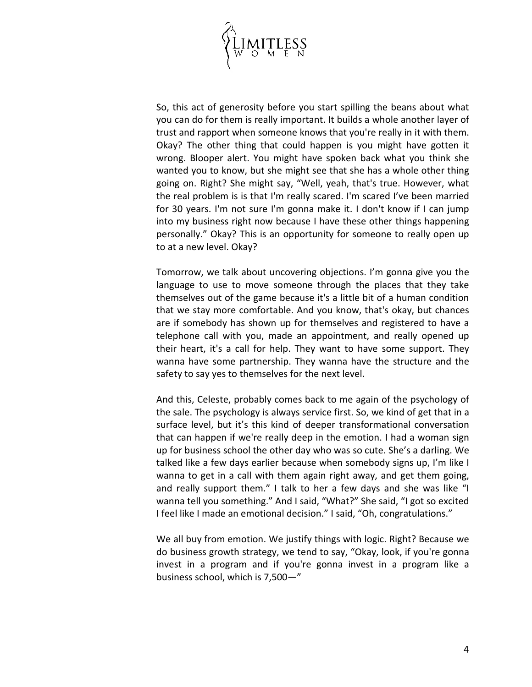

So, this act of generosity before you start spilling the beans about what you can do for them is really important. It builds a whole another layer of trust and rapport when someone knows that you're really in it with them. Okay? The other thing that could happen is you might have gotten it wrong. Blooper alert. You might have spoken back what you think she wanted you to know, but she might see that she has a whole other thing going on. Right? She might say, "Well, yeah, that's true. However, what the real problem is is that I'm really scared. I'm scared I've been married for 30 years. I'm not sure I'm gonna make it. I don't know if I can jump into my business right now because I have these other things happening personally." Okay? This is an opportunity for someone to really open up to at a new level. Okay?

Tomorrow, we talk about uncovering objections. I'm gonna give you the language to use to move someone through the places that they take themselves out of the game because it's a little bit of a human condition that we stay more comfortable. And you know, that's okay, but chances are if somebody has shown up for themselves and registered to have a telephone call with you, made an appointment, and really opened up their heart, it's a call for help. They want to have some support. They wanna have some partnership. They wanna have the structure and the safety to say yes to themselves for the next level.

And this, Celeste, probably comes back to me again of the psychology of the sale. The psychology is always service first. So, we kind of get that in a surface level, but it's this kind of deeper transformational conversation that can happen if we're really deep in the emotion. I had a woman sign up for business school the other day who was so cute. She's a darling. We talked like a few days earlier because when somebody signs up, I'm like I wanna to get in a call with them again right away, and get them going, and really support them." I talk to her a few days and she was like "I wanna tell you something." And I said, "What?" She said, "I got so excited I feel like I made an emotional decision." I said, "Oh, congratulations."

We all buy from emotion. We justify things with logic. Right? Because we do business growth strategy, we tend to say, "Okay, look, if you're gonna invest in a program and if you're gonna invest in a program like a business school, which is 7,500—"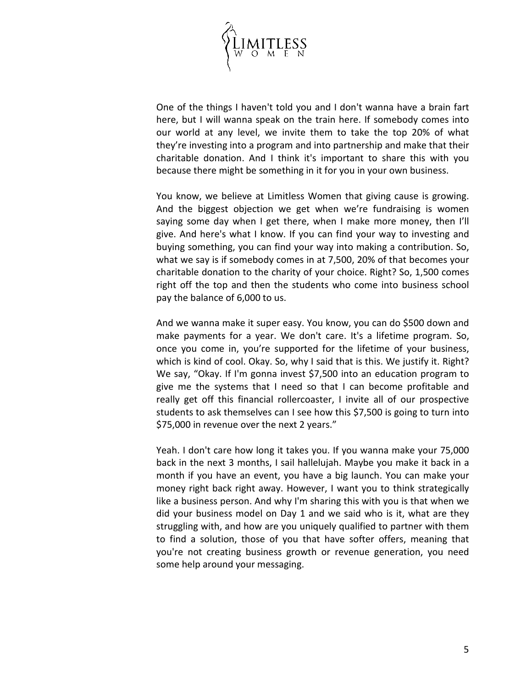

One of the things I haven't told you and I don't wanna have a brain fart here, but I will wanna speak on the train here. If somebody comes into our world at any level, we invite them to take the top 20% of what they're investing into a program and into partnership and make that their charitable donation. And I think it's important to share this with you because there might be something in it for you in your own business.

You know, we believe at Limitless Women that giving cause is growing. And the biggest objection we get when we're fundraising is women saying some day when I get there, when I make more money, then I'll give. And here's what I know. If you can find your way to investing and buying something, you can find your way into making a contribution. So, what we say is if somebody comes in at 7,500, 20% of that becomes your charitable donation to the charity of your choice. Right? So, 1,500 comes right off the top and then the students who come into business school pay the balance of 6,000 to us.

And we wanna make it super easy. You know, you can do \$500 down and make payments for a year. We don't care. It's a lifetime program. So, once you come in, you're supported for the lifetime of your business, which is kind of cool. Okay. So, why I said that is this. We justify it. Right? We say, "Okay. If I'm gonna invest \$7,500 into an education program to give me the systems that I need so that I can become profitable and really get off this financial rollercoaster, I invite all of our prospective students to ask themselves can I see how this \$7,500 is going to turn into \$75,000 in revenue over the next 2 years."

Yeah. I don't care how long it takes you. If you wanna make your 75,000 back in the next 3 months, I sail hallelujah. Maybe you make it back in a month if you have an event, you have a big launch. You can make your money right back right away. However, I want you to think strategically like a business person. And why I'm sharing this with you is that when we did your business model on Day 1 and we said who is it, what are they struggling with, and how are you uniquely qualified to partner with them to find a solution, those of you that have softer offers, meaning that you're not creating business growth or revenue generation, you need some help around your messaging.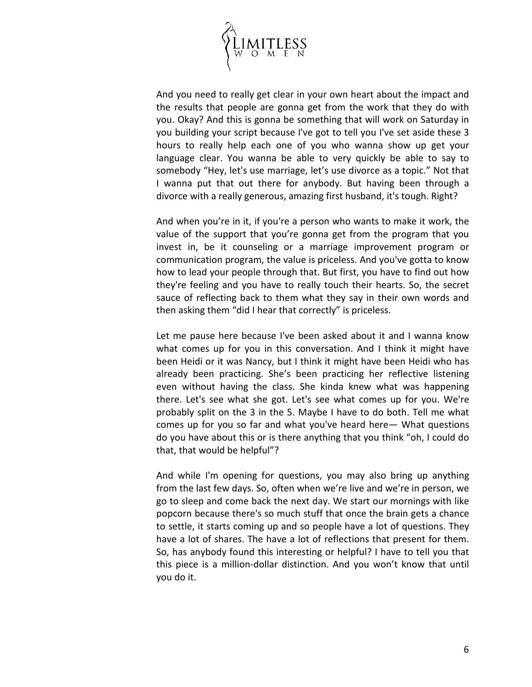

And you need to really get clear in your own heart about the impact and the results that people are gonna get from the work that they do with you. Okay? And this is gonna be something that will work on Saturday in you building your script because I've got to tell you I've set aside these 3 hours to really help each one of you who wanna show up get your language clear. You wanna be able to very quickly be able to say to somebody "Hey, let's use marriage, let's use divorce as a topic." Not that I wanna put that out there for anybody. But having been through a divorce with a really generous, amazing first husband, it's tough. Right?

And when you're in it, if you're a person who wants to make it work, the value of the support that you're gonna get from the program that you invest in, be it counseling or a marriage improvement program or communication program, the value is priceless. And you've gotta to know how to lead your people through that. But first, you have to find out how they're feeling and you have to really touch their hearts. So, the secret sauce of reflecting back to them what they say in their own words and then asking them "did I hear that correctly" is priceless.

Let me pause here because I've been asked about it and I wanna know what comes up for you in this conversation. And I think it might have been Heidi or it was Nancy, but I think it might have been Heidi who has already been practicing. She's been practicing her reflective listening even without having the class. She kinda knew what was happening there. Let's see what she got. Let's see what comes up for you. We're probably split on the 3 in the 5. Maybe I have to do both. Tell me what comes up for you so far and what you've heard here— What questions do you have about this or is there anything that you think "oh, I could do that, that would be helpful"?

And while I'm opening for questions, you may also bring up anything from the last few days. So, often when we're live and we're in person, we go to sleep and come back the next day. We start our mornings with like popcorn because there's so much stuff that once the brain gets a chance to settle, it starts coming up and so people have a lot of questions. They have a lot of shares. The have a lot of reflections that present for them. So, has anybody found this interesting or helpful? I have to tell you that this piece is a million-dollar distinction. And you won't know that until you do it.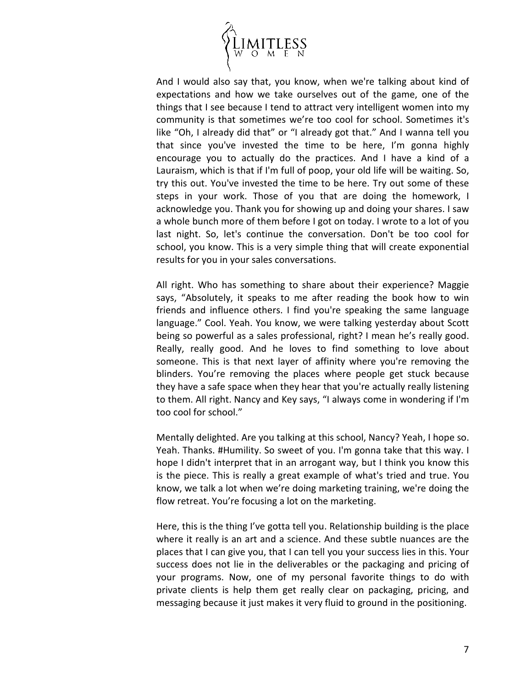

And I would also say that, you know, when we're talking about kind of expectations and how we take ourselves out of the game, one of the things that I see because I tend to attract very intelligent women into my community is that sometimes we're too cool for school. Sometimes it's like "Oh, I already did that" or "I already got that." And I wanna tell you that since you've invested the time to be here, I'm gonna highly encourage you to actually do the practices. And I have a kind of a Lauraism, which is that if I'm full of poop, your old life will be waiting. So, try this out. You've invested the time to be here. Try out some of these steps in your work. Those of you that are doing the homework, I acknowledge you. Thank you for showing up and doing your shares. I saw a whole bunch more of them before I got on today. I wrote to a lot of you last night. So, let's continue the conversation. Don't be too cool for school, you know. This is a very simple thing that will create exponential results for you in your sales conversations.

All right. Who has something to share about their experience? Maggie says, "Absolutely, it speaks to me after reading the book how to win friends and influence others. I find you're speaking the same language language." Cool. Yeah. You know, we were talking yesterday about Scott being so powerful as a sales professional, right? I mean he's really good. Really, really good. And he loves to find something to love about someone. This is that next layer of affinity where you're removing the blinders. You're removing the places where people get stuck because they have a safe space when they hear that you're actually really listening to them. All right. Nancy and Key says, "I always come in wondering if I'm too cool for school."

Mentally delighted. Are you talking at this school, Nancy? Yeah, I hope so. Yeah. Thanks. #Humility. So sweet of you. I'm gonna take that this way. I hope I didn't interpret that in an arrogant way, but I think you know this is the piece. This is really a great example of what's tried and true. You know, we talk a lot when we're doing marketing training, we're doing the flow retreat. You're focusing a lot on the marketing.

Here, this is the thing I've gotta tell you. Relationship building is the place where it really is an art and a science. And these subtle nuances are the places that I can give you, that I can tell you your success lies in this. Your success does not lie in the deliverables or the packaging and pricing of your programs. Now, one of my personal favorite things to do with private clients is help them get really clear on packaging, pricing, and messaging because it just makes it very fluid to ground in the positioning.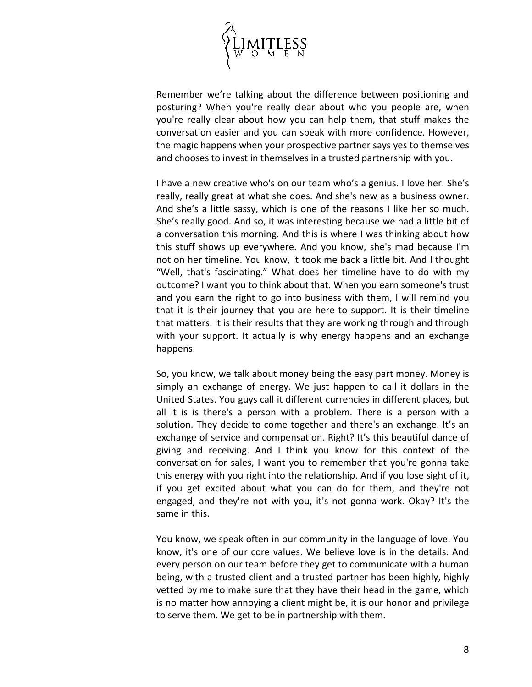

Remember we're talking about the difference between positioning and posturing? When you're really clear about who you people are, when you're really clear about how you can help them, that stuff makes the conversation easier and you can speak with more confidence. However, the magic happens when your prospective partner says yes to themselves and chooses to invest in themselves in a trusted partnership with you.

I have a new creative who's on our team who's a genius. I love her. She's really, really great at what she does. And she's new as a business owner. And she's a little sassy, which is one of the reasons I like her so much. She's really good. And so, it was interesting because we had a little bit of a conversation this morning. And this is where I was thinking about how this stuff shows up everywhere. And you know, she's mad because I'm not on her timeline. You know, it took me back a little bit. And I thought "Well, that's fascinating." What does her timeline have to do with my outcome? I want you to think about that. When you earn someone's trust and you earn the right to go into business with them, I will remind you that it is their journey that you are here to support. It is their timeline that matters. It is their results that they are working through and through with your support. It actually is why energy happens and an exchange happens.

So, you know, we talk about money being the easy part money. Money is simply an exchange of energy. We just happen to call it dollars in the United States. You guys call it different currencies in different places, but all it is is there's a person with a problem. There is a person with a solution. They decide to come together and there's an exchange. It's an exchange of service and compensation. Right? It's this beautiful dance of giving and receiving. And I think you know for this context of the conversation for sales, I want you to remember that you're gonna take this energy with you right into the relationship. And if you lose sight of it, if you get excited about what you can do for them, and they're not engaged, and they're not with you, it's not gonna work. Okay? It's the same in this.

You know, we speak often in our community in the language of love. You know, it's one of our core values. We believe love is in the details. And every person on our team before they get to communicate with a human being, with a trusted client and a trusted partner has been highly, highly vetted by me to make sure that they have their head in the game, which is no matter how annoying a client might be, it is our honor and privilege to serve them. We get to be in partnership with them.